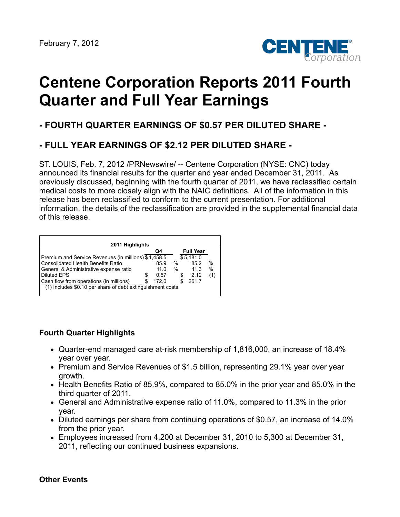

# **Centene Corporation Reports 2011 Fourth Quarter and Full Year Earnings**

# **- FOURTH QUARTER EARNINGS OF \$0.57 PER DILUTED SHARE -**

# **- FULL YEAR EARNINGS OF \$2.12 PER DILUTED SHARE -**

ST. LOUIS, Feb. 7, 2012 /PRNewswire/ -- Centene Corporation (NYSE: CNC) today announced its financial results for the quarter and year ended December 31, 2011. As previously discussed, beginning with the fourth quarter of 2011, we have reclassified certain medical costs to more closely align with the NAIC definitions. All of the information in this release has been reclassified to conform to the current presentation. For additional information, the details of the reclassification are provided in the supplemental financial data of this release.

| 2011 Highlights                                             |   |       |               |   |           |               |  |  |  |
|-------------------------------------------------------------|---|-------|---------------|---|-----------|---------------|--|--|--|
| <b>Full Year</b><br>Q4                                      |   |       |               |   |           |               |  |  |  |
| Premium and Service Revenues (in millions) \$1,458.5        |   |       |               |   | \$5,181.0 |               |  |  |  |
| <b>Consolidated Health Benefits Ratio</b>                   |   | 85.9  | %             |   | 85.2      | $\frac{0}{0}$ |  |  |  |
| General & Administrative expense ratio                      |   | 11.0  | $\frac{0}{0}$ |   | 11.3      | %             |  |  |  |
| <b>Diluted EPS</b>                                          | S | 0.57  |               | S | 2.12      |               |  |  |  |
| Cash flow from operations (in millions)                     |   | 172.0 |               |   | 261.7     |               |  |  |  |
| (1) Includes \$0.10 per share of debt extinguishment costs. |   |       |               |   |           |               |  |  |  |

### **Fourth Quarter Highlights**

- Quarter-end managed care at-risk membership of 1,816,000, an increase of 18.4% year over year.
- Premium and Service Revenues of \$1.5 billion, representing 29.1% year over year growth.
- Health Benefits Ratio of 85.9%, compared to 85.0% in the prior year and 85.0% in the third quarter of 2011.
- General and Administrative expense ratio of 11.0%, compared to 11.3% in the prior year.
- Diluted earnings per share from continuing operations of \$0.57, an increase of 14.0% from the prior year.
- Employees increased from 4,200 at December 31, 2010 to 5,300 at December 31, 2011, reflecting our continued business expansions.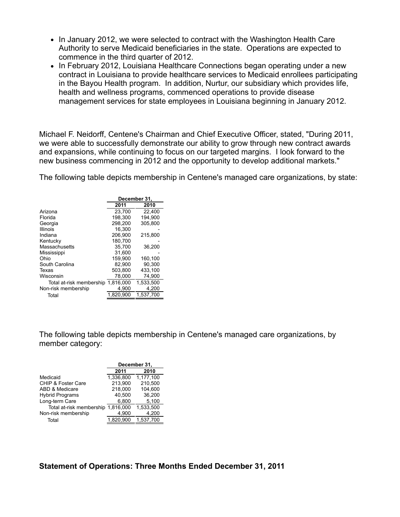- In January 2012, we were selected to contract with the Washington Health Care Authority to serve Medicaid beneficiaries in the state. Operations are expected to commence in the third quarter of 2012.
- In February 2012, Louisiana Healthcare Connections began operating under a new contract in Louisiana to provide healthcare services to Medicaid enrollees participating in the Bayou Health program. In addition, Nurtur, our subsidiary which provides life, health and wellness programs, commenced operations to provide disease management services for state employees in Louisiana beginning in January 2012.

Michael F. Neidorff, Centene's Chairman and Chief Executive Officer, stated, "During 2011, we were able to successfully demonstrate our ability to grow through new contract awards and expansions, while continuing to focus on our targeted margins. I look forward to the new business commencing in 2012 and the opportunity to develop additional markets."

The following table depicts membership in Centene's managed care organizations, by state:

|                          | December 31, |           |  |  |  |
|--------------------------|--------------|-----------|--|--|--|
|                          | 2011         | 2010      |  |  |  |
| Arizona                  | 23,700       | 22.400    |  |  |  |
| Florida                  | 198,300      | 194.900   |  |  |  |
| Georgia                  | 298.200      | 305.800   |  |  |  |
| <b>Illinois</b>          | 16.300       |           |  |  |  |
| Indiana                  | 206,900      | 215.800   |  |  |  |
| Kentucky                 | 180.700      |           |  |  |  |
| Massachusetts            | 35.700       | 36.200    |  |  |  |
| Mississippi              | 31.600       |           |  |  |  |
| Ohio                     | 159.900      | 160,100   |  |  |  |
| South Carolina           | 82.900       | 90.300    |  |  |  |
| Texas                    | 503.800      | 433.100   |  |  |  |
| Wisconsin                | 78.000       | 74.900    |  |  |  |
| Total at-risk membership | 1.816.000    | 1.533.500 |  |  |  |
| Non-risk membership      | 4.900        | 4.200     |  |  |  |
| Total                    | 1.820.900    | 1,537,700 |  |  |  |

The following table depicts membership in Centene's managed care organizations, by member category:

|                          | December 31, |           |  |  |  |  |
|--------------------------|--------------|-----------|--|--|--|--|
|                          | 2011         | 2010      |  |  |  |  |
| Medicaid                 | 1.336.800    | 1,177,100 |  |  |  |  |
| CHIP & Foster Care       | 213,900      | 210,500   |  |  |  |  |
| ABD & Medicare           | 218.000      | 104.600   |  |  |  |  |
| <b>Hybrid Programs</b>   | 40.500       | 36,200    |  |  |  |  |
| Long-term Care           | 6,800        | 5,100     |  |  |  |  |
| Total at-risk membership | 1.816.000    | 1.533.500 |  |  |  |  |
| Non-risk membership      | 4.900        | 4,200     |  |  |  |  |
| Total                    | 1,820,900    | 1,537,700 |  |  |  |  |
|                          |              |           |  |  |  |  |

**Statement of Operations: Three Months Ended December 31, 2011**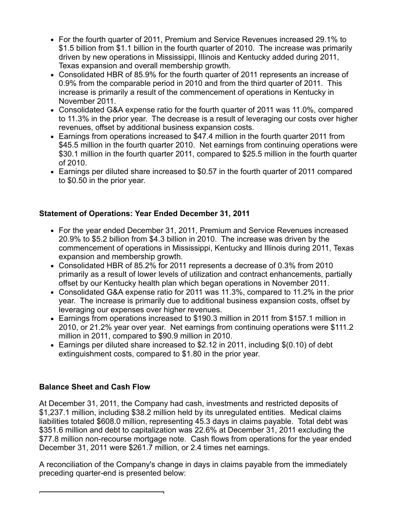- For the fourth quarter of 2011, Premium and Service Revenues increased 29.1% to \$1.5 billion from \$1.1 billion in the fourth quarter of 2010. The increase was primarily driven by new operations in Mississippi, Illinois and Kentucky added during 2011, Texas expansion and overall membership growth.
- Consolidated HBR of 85.9% for the fourth quarter of 2011 represents an increase of 0.9% from the comparable period in 2010 and from the third quarter of 2011. This increase is primarily a result of the commencement of operations in Kentucky in November 2011.
- Consolidated G&A expense ratio for the fourth quarter of 2011 was 11.0%, compared to 11.3% in the prior year. The decrease is a result of leveraging our costs over higher revenues, offset by additional business expansion costs.
- Earnings from operations increased to \$47.4 million in the fourth quarter 2011 from \$45.5 million in the fourth quarter 2010. Net earnings from continuing operations were \$30.1 million in the fourth quarter 2011, compared to \$25.5 million in the fourth quarter of 2010.
- Earnings per diluted share increased to \$0.57 in the fourth quarter of 2011 compared to \$0.50 in the prior year.

# **Statement of Operations: Year Ended December 31, 2011**

- For the year ended December 31, 2011, Premium and Service Revenues increased 20.9% to \$5.2 billion from \$4.3 billion in 2010. The increase was driven by the commencement of operations in Mississippi, Kentucky and Illinois during 2011, Texas expansion and membership growth.
- Consolidated HBR of 85.2% for 2011 represents a decrease of 0.3% from 2010 primarily as a result of lower levels of utilization and contract enhancements, partially offset by our Kentucky health plan which began operations in November 2011.
- Consolidated G&A expense ratio for 2011 was 11.3%, compared to 11.2% in the prior year. The increase is primarily due to additional business expansion costs, offset by leveraging our expenses over higher revenues.
- Earnings from operations increased to \$190.3 million in 2011 from \$157.1 million in 2010, or 21.2% year over year. Net earnings from continuing operations were \$111.2 million in 2011, compared to \$90.9 million in 2010.
- Earnings per diluted share increased to \$2.12 in 2011, including \$(0.10) of debt extinguishment costs, compared to \$1.80 in the prior year.

# **Balance Sheet and Cash Flow**

At December 31, 2011, the Company had cash, investments and restricted deposits of \$1,237.1 million, including \$38.2 million held by its unregulated entities. Medical claims liabilities totaled \$608.0 million, representing 45.3 days in claims payable. Total debt was \$351.6 million and debt to capitalization was 22.6% at December 31, 2011 excluding the \$77.8 million non-recourse mortgage note. Cash flows from operations for the year ended December 31, 2011 were \$261.7 million, or 2.4 times net earnings.

A reconciliation of the Company's change in days in claims payable from the immediately preceding quarter-end is presented below: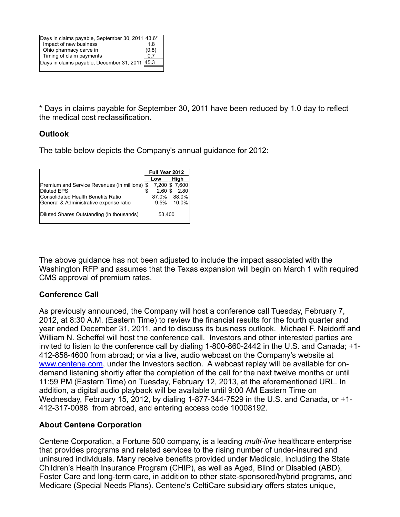\* Days in claims payable for September 30, 2011 have been reduced by 1.0 day to reflect the medical cost reclassification.

# **Outlook**

The table below depicts the Company's annual guidance for 2012:

|                                               | Full Year 2012 |           |                |  |  |
|-----------------------------------------------|----------------|-----------|----------------|--|--|
|                                               |                | Low       | High           |  |  |
| Premium and Service Revenues (in millions) \$ |                |           | 7,200 \$ 7,600 |  |  |
| <b>Diluted EPS</b>                            |                | $2.60$ \$ | 2.80           |  |  |
| lConsolidated Health Benefits Ratio           |                | 87.0%     | 88.0%          |  |  |
| General & Administrative expense ratio        |                | 9.5%      | 10.0%          |  |  |
| Diluted Shares Outstanding (in thousands)     |                | 53,400    |                |  |  |

The above guidance has not been adjusted to include the impact associated with the Washington RFP and assumes that the Texas expansion will begin on March 1 with required CMS approval of premium rates.

# **Conference Call**

As previously announced, the Company will host a conference call Tuesday, February 7, 2012, at 8:30 A.M. (Eastern Time) to review the financial results for the fourth quarter and year ended December 31, 2011, and to discuss its business outlook. Michael F. Neidorff and William N. Scheffel will host the conference call. Investors and other interested parties are invited to listen to the conference call by dialing 1-800-860-2442 in the U.S. and Canada; +1- 412-858-4600 from abroad; or via a live, audio webcast on the Company's website at [www.centene.com,](http://www.centene.com/) under the Investors section. A webcast replay will be available for ondemand listening shortly after the completion of the call for the next twelve months or until 11:59 PM (Eastern Time) on Tuesday, February 12, 2013, at the aforementioned URL. In addition, a digital audio playback will be available until 9:00 AM Eastern Time on Wednesday, February 15, 2012, by dialing 1-877-344-7529 in the U.S. and Canada, or +1- 412-317-0088 from abroad, and entering access code 10008192.

### **About Centene Corporation**

Centene Corporation, a Fortune 500 company, is a leading *multi-line* healthcare enterprise that provides programs and related services to the rising number of under-insured and uninsured individuals. Many receive benefits provided under Medicaid, including the State Children's Health Insurance Program (CHIP), as well as Aged, Blind or Disabled (ABD), Foster Care and long-term care, in addition to other state-sponsored/hybrid programs, and Medicare (Special Needs Plans). Centene's CeltiCare subsidiary offers states unique,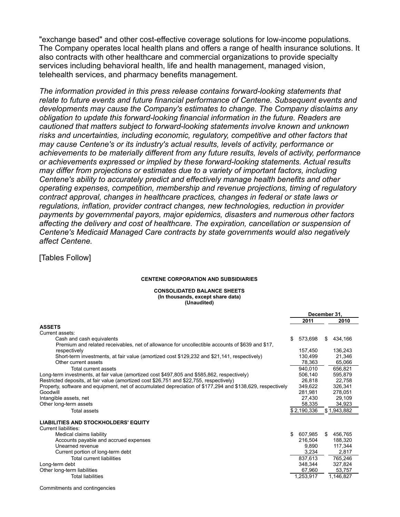"exchange based" and other cost-effective coverage solutions for low-income populations. The Company operates local health plans and offers a range of health insurance solutions. It also contracts with other healthcare and commercial organizations to provide specialty services including behavioral health, life and health management, managed vision, telehealth services, and pharmacy benefits management.

*The information provided in this press release contains forward-looking statements that relate to future events and future financial performance of Centene. Subsequent events and developments may cause the Company's estimates to change. The Company disclaims any obligation to update this forward-looking financial information in the future. Readers are cautioned that matters subject to forward-looking statements involve known and unknown risks and uncertainties, including economic, regulatory, competitive and other factors that may cause Centene's or its industry's actual results, levels of activity, performance or achievements to be materially different from any future results, levels of activity, performance or achievements expressed or implied by these forward-looking statements. Actual results may differ from projections or estimates due to a variety of important factors, including Centene's ability to accurately predict and effectively manage health benefits and other operating expenses, competition, membership and revenue projections, timing of regulatory contract approval, changes in healthcare practices, changes in federal or state laws or regulations, inflation, provider contract changes, new technologies, reduction in provider payments by governmental payors, major epidemics, disasters and numerous other factors affecting the delivery and cost of healthcare. The expiration, cancellation or suspension of Centene's Medicaid Managed Care contracts by state governments would also negatively affect Centene.*

[Tables Follow]

#### **CENTENE CORPORATION AND SUBSIDIARIES**

#### **CONSOLIDATED BALANCE SHEETS (In thousands, except share data) (Unaudited)**

|                                                                                                            | December 31. |             |   |             |  |
|------------------------------------------------------------------------------------------------------------|--------------|-------------|---|-------------|--|
|                                                                                                            |              | 2011        |   | 2010        |  |
| <b>ASSETS</b>                                                                                              |              |             |   |             |  |
| Current assets:                                                                                            |              |             |   |             |  |
| Cash and cash equivalents                                                                                  | \$           | 573,698     | S | 434,166     |  |
| Premium and related receivables, net of allowance for uncollectible accounts of \$639 and \$17,            |              |             |   |             |  |
| respectively                                                                                               |              | 157.450     |   | 136.243     |  |
| Short-term investments, at fair value (amortized cost \$129,232 and \$21,141, respectively)                |              | 130,499     |   | 21.346      |  |
| Other current assets                                                                                       |              | 78,363      |   | 65,066      |  |
| Total current assets                                                                                       |              | 940,010     |   | 656,821     |  |
| Long-term investments, at fair value (amortized cost \$497,805 and \$585,862, respectively)                |              | 506.140     |   | 595.879     |  |
| Restricted deposits, at fair value (amortized cost \$26,751 and \$22,755, respectively)                    |              | 26,818      |   | 22.758      |  |
| Property, software and equipment, net of accumulated depreciation of \$177,294 and \$138,629, respectively |              | 349.622     |   | 326.341     |  |
| Goodwill                                                                                                   |              | 281,981     |   | 278.051     |  |
| Intangible assets, net                                                                                     |              | 27.430      |   | 29.109      |  |
| Other long-term assets                                                                                     |              | 58,335      |   | 34,923      |  |
| Total assets                                                                                               |              | \$2,190,336 |   | \$1,943,882 |  |
| <b>LIABILITIES AND STOCKHOLDERS' EQUITY</b>                                                                |              |             |   |             |  |
| Current liabilities:                                                                                       |              |             |   |             |  |
| Medical claims liability                                                                                   | \$           | 607,985     | S | 456,765     |  |
| Accounts payable and accrued expenses                                                                      |              | 216.504     |   | 188.320     |  |
| Unearned revenue                                                                                           |              | 9,890       |   | 117.344     |  |
| Current portion of long-term debt                                                                          |              | 3,234       |   | 2,817       |  |
| Total current liabilities                                                                                  |              | 837,613     |   | 765,246     |  |
| Long-term debt                                                                                             |              | 348.344     |   | 327,824     |  |
| Other long-term liabilities                                                                                |              | 67,960      |   | 53,757      |  |
| <b>Total liabilities</b>                                                                                   |              | 1,253,917   |   | 1,146,827   |  |

Commitments and contingencies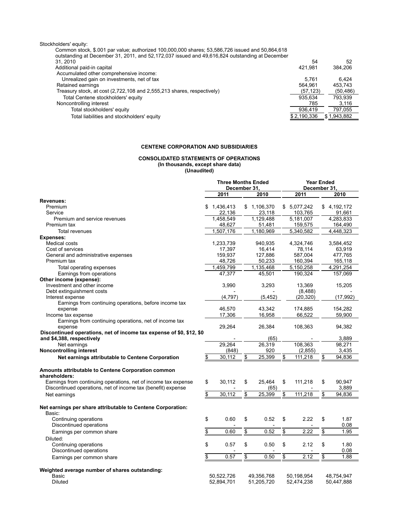| Stockholders' equity:                                                                              |             |             |
|----------------------------------------------------------------------------------------------------|-------------|-------------|
| Common stock, \$.001 par value; authorized 100,000,000 shares; 53,586,726 issued and 50,864,618    |             |             |
| outstanding at December 31, 2011, and 52, 172, 037 issued and 49, 616, 824 outstanding at December |             |             |
| 31.2010                                                                                            | 54          | 52          |
| Additional paid-in capital                                                                         | 421.981     | 384.206     |
| Accumulated other comprehensive income:                                                            |             |             |
| Unrealized gain on investments, net of tax                                                         | 5.761       | 6.424       |
| Retained earnings                                                                                  | 564.961     | 453.743     |
| Treasury stock, at cost (2,722,108 and 2,555,213 shares, respectively)                             | (57, 123)   | (50, 486)   |
| Total Centene stockholders' equity                                                                 | 935.634     | 793,939     |
| Noncontrolling interest                                                                            | 785         | 3,116       |
| Total stockholders' equity                                                                         | 936.419     | 797,055     |
| Total liabilities and stockholders' equity                                                         | \$2,190,336 | \$1,943,882 |

#### **CENTENE CORPORATION AND SUBSIDIARIES**

#### **CONSOLIDATED STATEMENTS OF OPERATIONS (In thousands, except share data) (Unaudited)**

|                                                                      | <b>Three Months Ended</b> |                   |                 |                   | <b>Year Ended</b> |                      |                 |             |
|----------------------------------------------------------------------|---------------------------|-------------------|-----------------|-------------------|-------------------|----------------------|-----------------|-------------|
|                                                                      | December 31,              |                   |                 |                   | December 31,      |                      |                 |             |
|                                                                      |                           | 2011              |                 | 2010              |                   | 2011                 |                 | 2010        |
| Revenues:                                                            |                           |                   |                 |                   |                   |                      |                 |             |
| Premium                                                              |                           | \$1,436,413       |                 | \$1,106,370       |                   | \$5,077,242          |                 | \$4,192,172 |
| Service                                                              |                           | 22,136            |                 | 23,118            |                   | 103,765              |                 | 91,661      |
| Premium and service revenues                                         |                           | 1,458,549         |                 | 1.129.488         |                   | 5.181.007            |                 | 4.283.833   |
| Premium tax                                                          |                           | 48,627            |                 | 51,481            |                   | 159,575              |                 | 164,490     |
| <b>Total revenues</b>                                                |                           | 1,507,176         |                 | 1,180,969         |                   | 5.340.582            |                 | 4,448,323   |
| <b>Expenses:</b>                                                     |                           |                   |                 |                   |                   |                      |                 |             |
| Medical costs                                                        |                           | 1.233.739         |                 | 940.935           |                   | 4.324.746            |                 | 3.584.452   |
| Cost of services                                                     |                           | 17,397            |                 | 16,414            |                   | 78.114               |                 | 63,919      |
| General and administrative expenses<br>Premium tax                   |                           | 159,937<br>48,726 |                 | 127,886<br>50,233 |                   | 587,004<br>160,394   |                 | 477,765     |
|                                                                      |                           |                   |                 |                   |                   |                      |                 | 165,118     |
| Total operating expenses                                             |                           | 1,459,799         |                 | 1,135,468         |                   | 5,150,258            |                 | 4,291,254   |
| Earnings from operations                                             |                           | 47,377            |                 | 45,501            |                   | 190,324              |                 | 157,069     |
| Other income (expense):                                              |                           |                   |                 |                   |                   |                      |                 |             |
| Investment and other income                                          |                           | 3,990             |                 | 3,293             |                   | 13,369               |                 | 15,205      |
| Debt extinguishment costs<br>Interest expense                        |                           | (4,797)           |                 | (5, 452)          |                   | (8,488)<br>(20, 320) |                 | (17, 992)   |
| Earnings from continuing operations, before income tax               |                           |                   |                 |                   |                   |                      |                 |             |
| expense                                                              |                           | 46,570            |                 | 43,342            |                   | 174,885              |                 | 154,282     |
| Income tax expense                                                   |                           | 17,306            |                 | 16,958            |                   | 66,522               |                 | 59,900      |
| Earnings from continuing operations, net of income tax               |                           |                   |                 |                   |                   |                      |                 |             |
| expense                                                              |                           | 29,264            |                 | 26,384            |                   | 108,363              |                 | 94,382      |
| Discontinued operations, net of income tax expense of \$0, \$12, \$0 |                           |                   |                 |                   |                   |                      |                 |             |
| and \$4,388, respectively                                            |                           |                   |                 | (65)              |                   |                      |                 | 3,889       |
| Net earnings                                                         |                           | 29,264            |                 | 26,319            |                   | 108,363              |                 | 98,271      |
| Noncontrolling interest                                              |                           | (848)             |                 | 920               |                   | (2,855)              |                 | 3.435       |
| Net earnings attributable to Centene Corporation                     | \$                        | 30,112            | \$              | 25,399            | \$                | 111,218              | \$              | 94,836      |
|                                                                      |                           |                   |                 |                   |                   |                      |                 |             |
| Amounts attributable to Centene Corporation common                   |                           |                   |                 |                   |                   |                      |                 |             |
| shareholders:                                                        |                           |                   |                 |                   |                   |                      |                 |             |
| Earnings from continuing operations, net of income tax expense       | \$                        | 30,112            | \$              | 25,464            | \$                | 111,218              | \$              | 90.947      |
| Discontinued operations, net of income tax (benefit) expense         |                           |                   |                 | (65)              |                   |                      |                 | 3,889       |
| Net earnings                                                         | \$                        | 30.112            | \$              | 25.399            | \$                | 111,218              | \$              | 94.836      |
|                                                                      |                           |                   |                 |                   |                   |                      |                 |             |
| Net earnings per share attributable to Centene Corporation:          |                           |                   |                 |                   |                   |                      |                 |             |
| Basic:                                                               |                           |                   |                 |                   |                   |                      |                 |             |
| Continuing operations                                                | \$                        | 0.60              | \$              | 0.52              | \$                | 2.22                 | \$              | 1.87        |
| Discontinued operations                                              |                           |                   |                 |                   |                   |                      |                 | 0.08        |
| Earnings per common share                                            | \$                        | 0.60              | \$              | 0.52              | \$                | 2.22                 | \$              | 1.95        |
|                                                                      |                           |                   |                 |                   |                   |                      |                 |             |
| Diluted:                                                             |                           |                   |                 |                   |                   |                      |                 |             |
| Continuing operations                                                | \$                        | 0.57              | \$              | 0.50              | \$                | 2.12                 | \$              | 1.80        |
| Discontinued operations                                              |                           |                   |                 |                   |                   |                      |                 | 0.08        |
| Earnings per common share                                            | \$                        | 0.57              | $\overline{\$}$ | 0.50              | \$                | 2.12                 | $\overline{\$}$ | 1.88        |
|                                                                      |                           |                   |                 |                   |                   |                      |                 |             |
| Weighted average number of shares outstanding:                       |                           |                   |                 |                   |                   |                      |                 |             |
| Basic                                                                |                           | 50,522,726        |                 | 49,356,768        |                   | 50,198,954           |                 | 48.754.947  |
| <b>Diluted</b>                                                       |                           | 52,894,701        |                 | 51,205,720        |                   | 52,474,238           |                 | 50,447,888  |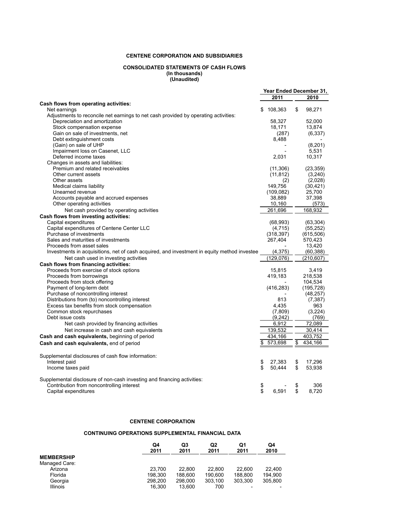#### **CENTENE CORPORATION AND SUBSIDIARIES**

#### **CONSOLIDATED STATEMENTS OF CASH FLOWS (In thousands) (Unaudited)**

|                                                                                             |               | Year Ended December 31, |
|---------------------------------------------------------------------------------------------|---------------|-------------------------|
|                                                                                             | 2011          | 2010                    |
| Cash flows from operating activities:                                                       |               |                         |
| Net earnings                                                                                | \$<br>108,363 | \$<br>98,271            |
| Adjustments to reconcile net earnings to net cash provided by operating activities:         |               |                         |
| Depreciation and amortization                                                               | 58,327        | 52,000                  |
| Stock compensation expense                                                                  | 18,171        | 13,874                  |
| Gain on sale of investments, net                                                            | (287)         | (6, 337)                |
| Debt extinguishment costs                                                                   | 8,488         |                         |
| (Gain) on sale of UHP                                                                       |               | (8,201)                 |
| Impairment loss on Casenet, LLC                                                             |               | 5,531                   |
| Deferred income taxes                                                                       | 2,031         | 10,317                  |
| Changes in assets and liabilities:                                                          |               |                         |
| Premium and related receivables                                                             | (11, 306)     | (23, 359)               |
| Other current assets                                                                        | (11, 812)     | (3,240)                 |
| Other assets                                                                                | (2)           | (2,028)                 |
| Medical claims liability                                                                    | 149,756       | (30, 421)               |
| Unearned revenue                                                                            | (109, 082)    | 25,700                  |
| Accounts payable and accrued expenses                                                       | 38,889        | 37,398                  |
| Other operating activities                                                                  | 10,160        | (573)                   |
| Net cash provided by operating activities                                                   | 261,696       | 168,932                 |
| Cash flows from investing activities:                                                       |               |                         |
| Capital expenditures                                                                        | (68, 993)     | (63, 304)               |
| Capital expenditures of Centene Center LLC                                                  | (4,715)       | (55, 252)               |
| Purchase of investments                                                                     | (318, 397)    | (615, 506)              |
| Sales and maturities of investments                                                         | 267,404       | 570,423                 |
| Proceeds from asset sales                                                                   |               | 13,420                  |
| Investments in acquisitions, net of cash acquired, and investment in equity method investee | (4,375)       | (60, 388)               |
| Net cash used in investing activities                                                       | (129, 076)    | (210, 607)              |
| Cash flows from financing activities:                                                       |               |                         |
| Proceeds from exercise of stock options                                                     | 15,815        | 3,419                   |
| Proceeds from borrowings                                                                    | 419,183       | 218,538                 |
| Proceeds from stock offering                                                                |               | 104,534                 |
| Payment of long-term debt                                                                   | (416, 283)    | (195, 728)              |
| Purchase of noncontrolling interest                                                         |               | (48, 257)               |
| Distributions from (to) noncontrolling interest                                             | 813           | (7, 387)                |
| Excess tax benefits from stock compensation                                                 | 4,435         | 963                     |
| Common stock repurchases                                                                    | (7,809)       | (3,224)                 |
| Debt issue costs                                                                            | (9,242)       | (769)                   |
| Net cash provided by financing activities                                                   | 6,912         | 72,089                  |
| Net increase in cash and cash equivalents                                                   | 139,532       | 30,414                  |
| Cash and cash equivalents, beginning of period                                              | 434,166       | 403,752                 |
| Cash and cash equivalents, end of period                                                    | 573,698       | \$<br>434,166           |
|                                                                                             |               |                         |
| Supplemental disclosures of cash flow information:                                          |               |                         |
| Interest paid                                                                               | \$<br>27,383  | \$<br>17,296            |
| Income taxes paid                                                                           | \$<br>50,444  | \$<br>53,938            |
|                                                                                             |               |                         |
| Supplemental disclosure of non-cash investing and financing activities:                     |               |                         |
| Contribution from noncontrolling interest                                                   | \$            | \$<br>306               |
| Capital expenditures                                                                        | \$<br>6,591   | \$<br>8,720             |

#### **CENTENE CORPORATION**

#### **CONTINUING OPERATIONS SUPPLEMENTAL FINANCIAL DATA**

|                    | Q4<br>2011 | Q3<br>2011 | Q2<br>2011 | Q1<br>2011 | Q4<br>2010 |
|--------------------|------------|------------|------------|------------|------------|
| <b>MEMBERSHIP</b>  |            |            |            |            |            |
| Managed Care:      | 23.700     | 22.800     | 22,800     | 22.600     | 22.400     |
| Arizona<br>Florida | 198.300    | 188.600    | 190.600    | 188.800    | 194.900    |
|                    |            |            |            |            |            |
| Georgia            | 298.200    | 298,000    | 303.100    | 303.300    | 305,800    |
| <b>Illinois</b>    | 16.300     | 13.600     | 700        |            |            |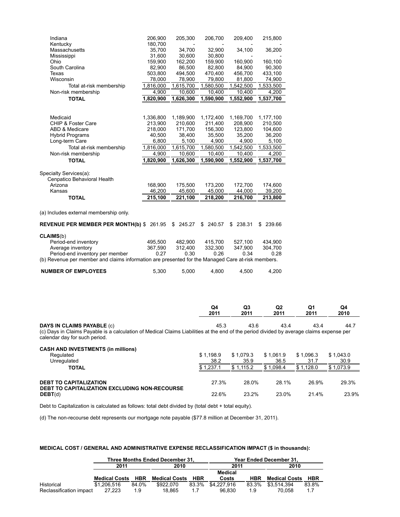| Indiana<br>Kentucky                                                                                                                                                                                            | 206,900<br>180,700 | 205,300   | 206,700           | 209,400           | 215,800           |                   |                   |
|----------------------------------------------------------------------------------------------------------------------------------------------------------------------------------------------------------------|--------------------|-----------|-------------------|-------------------|-------------------|-------------------|-------------------|
| Massachusetts                                                                                                                                                                                                  | 35,700             | 34,700    | 32,900            | 34,100            | 36,200            |                   |                   |
| Mississippi                                                                                                                                                                                                    | 31,600             | 30,600    | 30,800            |                   |                   |                   |                   |
| Ohio                                                                                                                                                                                                           | 159,900            | 162,200   | 159,900           | 160,900           | 160,100           |                   |                   |
| South Carolina                                                                                                                                                                                                 | 82,900             | 86,500    | 82,800            | 84,900            | 90,300            |                   |                   |
| Texas                                                                                                                                                                                                          | 503,800            | 494,500   | 470,400           | 456,700           | 433,100           |                   |                   |
| Wisconsin                                                                                                                                                                                                      | 78,000             | 78,900    | 79,800            | 81,800            | 74,900            |                   |                   |
| Total at-risk membership                                                                                                                                                                                       | 1,816,000          | 1,615,700 | 1,580,500         | 1,542,500         | 1,533,500         |                   |                   |
| Non-risk membership                                                                                                                                                                                            | 4,900              | 10,600    | 10,400            | 10,400            | 4,200             |                   |                   |
| <b>TOTAL</b>                                                                                                                                                                                                   | 1,820,900          | 1,626,300 | 1,590,900         | 1,552,900         | 1,537,700         |                   |                   |
|                                                                                                                                                                                                                |                    |           |                   |                   |                   |                   |                   |
|                                                                                                                                                                                                                |                    |           |                   |                   |                   |                   |                   |
| Medicaid                                                                                                                                                                                                       | 1,336,800          | 1,189,900 | 1,172,400         | 1,169,700         | 1,177,100         |                   |                   |
| CHIP & Foster Care                                                                                                                                                                                             | 213,900            | 210,600   | 211,400           | 208,900           | 210,500           |                   |                   |
| ABD & Medicare                                                                                                                                                                                                 | 218,000            | 171,700   | 156,300           | 123,800           | 104,600           |                   |                   |
| <b>Hybrid Programs</b>                                                                                                                                                                                         | 40,500             | 38,400    | 35,500            | 35,200            | 36,200            |                   |                   |
| Long-term Care                                                                                                                                                                                                 | 6,800              | 5,100     | 4,900             | 4,900             | 5,100             |                   |                   |
| Total at-risk membership                                                                                                                                                                                       | 1,816,000          | 1,615,700 | 1,580,500         | 1,542,500         | 1,533,500         |                   |                   |
| Non-risk membership                                                                                                                                                                                            | 4,900              | 10,600    | 10,400            | 10,400            | 4,200             |                   |                   |
| <b>TOTAL</b>                                                                                                                                                                                                   | 1,820,900          | 1,626,300 | 1,590,900         | 1,552,900         | 1,537,700         |                   |                   |
|                                                                                                                                                                                                                |                    |           |                   |                   |                   |                   |                   |
| Specialty Services(a):                                                                                                                                                                                         |                    |           |                   |                   |                   |                   |                   |
| Cenpatico Behavioral Health                                                                                                                                                                                    |                    |           |                   |                   |                   |                   |                   |
| Arizona                                                                                                                                                                                                        | 168,900            | 175,500   | 173,200           | 172,700           | 174,600           |                   |                   |
| Kansas                                                                                                                                                                                                         | 46,200             | 45,600    | 45,000            | 44,000            | 39,200            |                   |                   |
| <b>TOTAL</b>                                                                                                                                                                                                   | 215,100            | 221,100   | 218,200           | 216,700           | 213,800           |                   |                   |
| (a) Includes external membership only.                                                                                                                                                                         |                    |           |                   |                   |                   |                   |                   |
| REVENUE PER MEMBER PER MONTH(b) $$261.95$ $$245.27$                                                                                                                                                            |                    |           | \$ 240.57         | \$238.31          | \$ 239.66         |                   |                   |
| <b>CLAIMS(b)</b>                                                                                                                                                                                               |                    |           |                   |                   |                   |                   |                   |
| Period-end inventory                                                                                                                                                                                           | 495,500            | 482,900   | 415,700           | 527,100           | 434,900           |                   |                   |
| Average inventory                                                                                                                                                                                              | 367,590            | 312,400   | 332,300           | 347,900           | 304,700           |                   |                   |
| Period-end inventory per member                                                                                                                                                                                | 0.27               | 0.30      | 0.26              | 0.34              | 0.28              |                   |                   |
| (b) Revenue per member and claims information are presented for the Managed Care at-risk members.                                                                                                              |                    |           |                   |                   |                   |                   |                   |
|                                                                                                                                                                                                                |                    |           |                   |                   |                   |                   |                   |
| <b>NUMBER OF EMPLOYEES</b>                                                                                                                                                                                     | 5,300              | 5,000     | 4,800             | 4,500             | 4,200             |                   |                   |
|                                                                                                                                                                                                                |                    |           |                   |                   |                   |                   |                   |
|                                                                                                                                                                                                                |                    |           | Q4<br>2011        | Q3<br>2011        | Q2<br>2011        | Q1<br>2011        | Q4<br>2010        |
|                                                                                                                                                                                                                |                    |           |                   |                   |                   |                   |                   |
| <b>DAYS IN CLAIMS PAYABLE (c)</b><br>(c) Days in Claims Payable is a calculation of Medical Claims Liabilities at the end of the period divided by average claims expense per<br>calendar day for such period. |                    |           | 45.3              | 43.6              | 43.4              | 43.4              | 44.7              |
| <b>CASH AND INVESTMENTS (in millions)</b>                                                                                                                                                                      |                    |           |                   |                   |                   |                   |                   |
| Regulated<br>Unregulated                                                                                                                                                                                       |                    |           | \$1,198.9<br>38.2 | \$1,079.3<br>35.9 | \$1,061.9<br>36.5 | \$1,096.3<br>31.7 | \$1,043.0<br>30.9 |

| <b>TOTAL</b>                                                                          |       | \$1.115.2 | \$1<br>1.098.4 | \$1.128.0 | \$1.073.9 |
|---------------------------------------------------------------------------------------|-------|-----------|----------------|-----------|-----------|
|                                                                                       |       |           |                |           |           |
| <b>DEBT TO CAPITALIZATION</b><br><b>DEBT TO CAPITALIZATION EXCLUDING NON-RECOURSE</b> | 27.3% | 28.0%     | 28.1%          | 26.9%     | 29.3%     |
| DEBT(d)                                                                               | 22.6% | 23.2%     | 23.0%          | 21.4%     | 23.9%     |

Debt to Capitalization is calculated as follows: total debt divided by (total debt + total equity).

(d) The non-recourse debt represents our mortgage note payable (\$77.8 million at December 31, 2011).

#### **MEDICAL COST / GENERAL AND ADMINISTRATIVE EXPENSE RECLASSIFICATION IMPACT (\$ in thousands):**

|                         | Three Months Ended December 31, |       |                      |            | Year Ended December 31. |            |                      |            |  |  |
|-------------------------|---------------------------------|-------|----------------------|------------|-------------------------|------------|----------------------|------------|--|--|
|                         | 2011                            |       | 2010                 |            | 2011                    |            | 2010                 |            |  |  |
|                         |                                 |       |                      |            | Medical                 |            |                      |            |  |  |
|                         | <b>Medical Costs</b>            | HBR   | <b>Medical Costs</b> | <b>HBR</b> | Costs                   | <b>HBR</b> | <b>Medical Costs</b> | <b>HBR</b> |  |  |
| Historical              | \$1,206,516                     | 84.0% | \$922.070            | 83.3%      | \$4.227.916             | 83.3%      | \$3.514.394          | 83.8%      |  |  |
| Reclassification impact | 27.223                          | 1.9   | 18.865               | 1.7        | 96.830                  | 1.9        | 70.058               | 1.7        |  |  |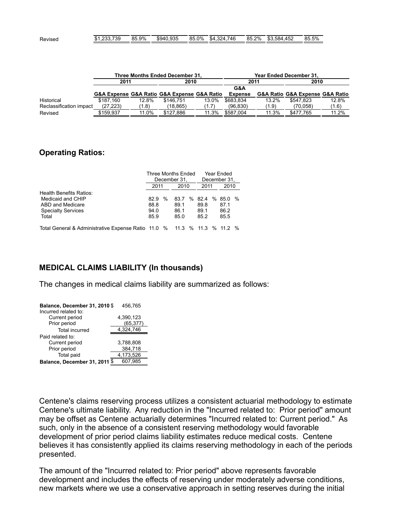| Revised | 000<br>.739<br><b>PA</b><br>۰в.<br>. ن ب<br>. | 85.9% | \$940.935 | 85.0% | .746<br>$+324$<br>\$4<br><b></b> | ?%<br>85.2 | .584<br>4.452<br>ጦባ<br>കാ. | 85.5% |
|---------|-----------------------------------------------|-------|-----------|-------|----------------------------------|------------|----------------------------|-------|
|         |                                               |       |           |       |                                  |            |                            |       |

|                         | Three Months Ended December 31, |       |                                             |       | Year Ended December 31, |       |                                 |       |
|-------------------------|---------------------------------|-------|---------------------------------------------|-------|-------------------------|-------|---------------------------------|-------|
|                         | 2011                            |       | 2010                                        |       | 2011                    |       | 2010                            |       |
|                         |                                 |       |                                             |       | G&A                     |       |                                 |       |
|                         |                                 |       | G&A Expense G&A Ratio G&A Expense G&A Ratio |       | <b>Expense</b>          |       | G&A Ratio G&A Expense G&A Ratio |       |
| Historical              | \$187.160                       | 12.8% | \$146.751                                   | 13.0% | \$683.834               | 13.2% | \$547.823                       | 12.8% |
| Reclassification impact | (27.223)                        | (1.8) | (18.865)                                    | (1.7) | (96.830)                | (1.9) | (70.058)                        | (1.6) |
| Revised                 | \$159.937                       | 11.0% | \$127.886                                   | 11.3% | \$587.004               | 11.3% | \$477.765                       | 11.2% |

### **Operating Ratios:**

|                                |          | Three Months Ended |      |               |  |  |
|--------------------------------|----------|--------------------|------|---------------|--|--|
|                                |          | December 31,       |      | December 31,  |  |  |
|                                | 2011     | 2010               | 2011 | 2010          |  |  |
| <b>Health Benefits Ratios:</b> |          |                    |      |               |  |  |
| Medicaid and CHIP              | %<br>829 | %<br>83 7          | 82.4 | % $85.0$<br>% |  |  |
| ABD and Medicare               | 88.8     | 89.1               | 89.8 | 87.1          |  |  |
| <b>Specialty Services</b>      | 94.0     | 86.1               | 89.1 | 86.2          |  |  |
| Total                          | 85.9     | 85.0               | 85.2 | 85.5          |  |  |
|                                |          |                    |      |               |  |  |

Total General & Administrative Expense Ratio 11.0 % 11.3 % 11.3 % 11.2 %

### **MEDICAL CLAIMS LIABILITY (In thousands)**

The changes in medical claims liability are summarized as follows:

| Balance, December 31, 2010 \$ | 456,765   |  |  |
|-------------------------------|-----------|--|--|
| Incurred related to:          |           |  |  |
| Current period                | 4,390,123 |  |  |
| Prior period                  | (65, 377) |  |  |
| <b>Total incurred</b>         | 4,324,746 |  |  |
| Paid related to:              |           |  |  |
| Current period                | 3,788,808 |  |  |
| Prior period                  | 384,718   |  |  |
| Total paid                    | 4,173,526 |  |  |
| Balance, December 31, 2011 \$ | 607.985   |  |  |

Centene's claims reserving process utilizes a consistent actuarial methodology to estimate Centene's ultimate liability. Any reduction in the "Incurred related to: Prior period" amount may be offset as Centene actuarially determines "Incurred related to: Current period." As such, only in the absence of a consistent reserving methodology would favorable development of prior period claims liability estimates reduce medical costs. Centene believes it has consistently applied its claims reserving methodology in each of the periods presented.

The amount of the "Incurred related to: Prior period" above represents favorable development and includes the effects of reserving under moderately adverse conditions, new markets where we use a conservative approach in setting reserves during the initial